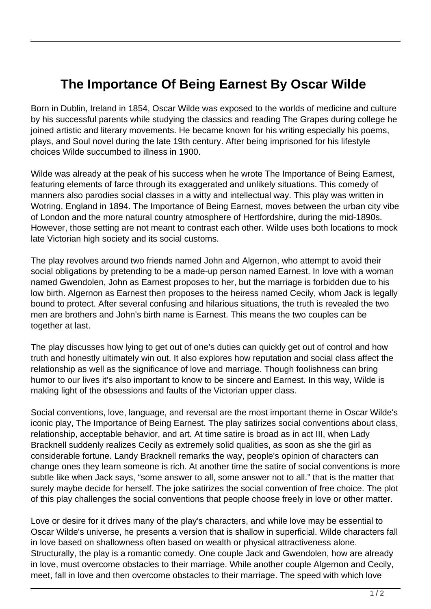## **The Importance Of Being Earnest By Oscar Wilde**

Born in Dublin, Ireland in 1854, Oscar Wilde was exposed to the worlds of medicine and culture by his successful parents while studying the classics and reading The Grapes during college he joined artistic and literary movements. He became known for his writing especially his poems, plays, and Soul novel during the late 19th century. After being imprisoned for his lifestyle choices Wilde succumbed to illness in 1900.

Wilde was already at the peak of his success when he wrote The Importance of Being Earnest, featuring elements of farce through its exaggerated and unlikely situations. This comedy of manners also parodies social classes in a witty and intellectual way. This play was written in Wotring, England in 1894. The Importance of Being Earnest, moves between the urban city vibe of London and the more natural country atmosphere of Hertfordshire, during the mid-1890s. However, those setting are not meant to contrast each other. Wilde uses both locations to mock late Victorian high society and its social customs.

The play revolves around two friends named John and Algernon, who attempt to avoid their social obligations by pretending to be a made-up person named Earnest. In love with a woman named Gwendolen, John as Earnest proposes to her, but the marriage is forbidden due to his low birth. Algernon as Earnest then proposes to the heiress named Cecily, whom Jack is legally bound to protect. After several confusing and hilarious situations, the truth is revealed the two men are brothers and John's birth name is Earnest. This means the two couples can be together at last.

The play discusses how lying to get out of one's duties can quickly get out of control and how truth and honestly ultimately win out. It also explores how reputation and social class affect the relationship as well as the significance of love and marriage. Though foolishness can bring humor to our lives it's also important to know to be sincere and Earnest. In this way, Wilde is making light of the obsessions and faults of the Victorian upper class.

Social conventions, love, language, and reversal are the most important theme in Oscar Wilde's iconic play, The Importance of Being Earnest. The play satirizes social conventions about class, relationship, acceptable behavior, and art. At time satire is broad as in act III, when Lady Bracknell suddenly realizes Cecily as extremely solid qualities, as soon as she the girl as considerable fortune. Landy Bracknell remarks the way, people's opinion of characters can change ones they learn someone is rich. At another time the satire of social conventions is more subtle like when Jack says, "some answer to all, some answer not to all." that is the matter that surely maybe decide for herself. The joke satirizes the social convention of free choice. The plot of this play challenges the social conventions that people choose freely in love or other matter.

Love or desire for it drives many of the play's characters, and while love may be essential to Oscar Wilde's universe, he presents a version that is shallow in superficial. Wilde characters fall in love based on shallowness often based on wealth or physical attractiveness alone. Structurally, the play is a romantic comedy. One couple Jack and Gwendolen, how are already in love, must overcome obstacles to their marriage. While another couple Algernon and Cecily, meet, fall in love and then overcome obstacles to their marriage. The speed with which love